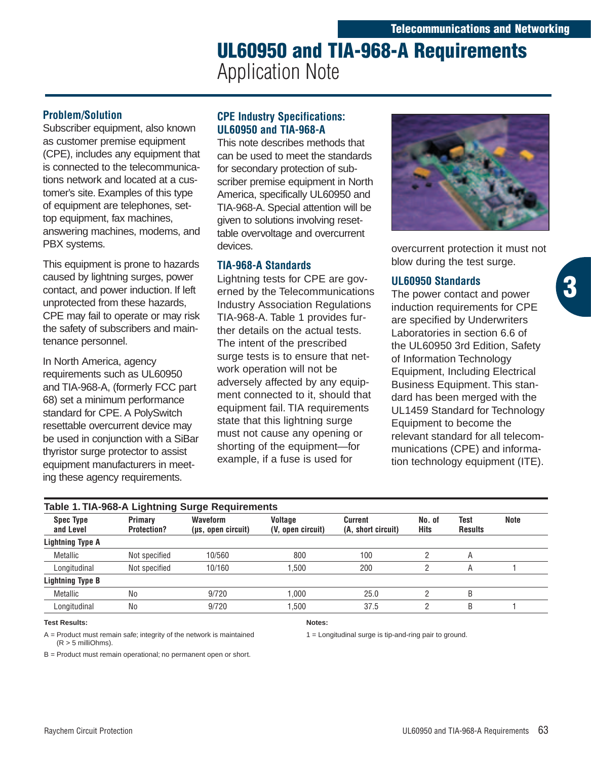# **UL60950 and TIA-968-A Requirements** Application Note

# **Problem/Solution**

Subscriber equipment, also known as customer premise equipment (CPE), includes any equipment that is connected to the telecommunications network and located at a customer's site. Examples of this type of equipment are telephones, settop equipment, fax machines, answering machines, modems, and PBX systems.

This equipment is prone to hazards caused by lightning surges, power contact, and power induction. If left unprotected from these hazards, CPE may fail to operate or may risk the safety of subscribers and maintenance personnel.

In North America, agency requirements such as UL60950 and TIA-968-A, (formerly FCC part 68) set a minimum performance standard for CPE. A PolySwitch resettable overcurrent device may be used in conjunction with a SiBar thyristor surge protector to assist equipment manufacturers in meeting these agency requirements.

# **CPE Industry Specifications: UL60950 and TIA-968-A**

This note describes methods that can be used to meet the standards for secondary protection of subscriber premise equipment in North America, specifically UL60950 and TIA-968-A. Special attention will be given to solutions involving resettable overvoltage and overcurrent devices.

# **TIA-968-A Standards**

Lightning tests for CPE are governed by the Telecommunications Industry Association Regulations TIA-968-A. Table 1 provides further details on the actual tests. The intent of the prescribed surge tests is to ensure that network operation will not be adversely affected by any equipment connected to it, should that equipment fail. TIA requirements state that this lightning surge must not cause any opening or shorting of the equipment—for example, if a fuse is used for



overcurrent protection it must not blow during the test surge.

**3**

# **UL60950 Standards**

The power contact and power induction requirements for CPE are specified by Underwriters Laboratories in section 6.6 of the UL60950 3rd Edition, Safety of Information Technology Equipment, Including Electrical Business Equipment. This standard has been merged with the UL1459 Standard for Technology Equipment to become the relevant standard for all telecommunications (CPE) and information technology equipment (ITE).

| Spec Type<br>and Level  | Primary<br><b>Protection?</b> | <b>Waveform</b><br>(µs, open circuit) | Voltage<br>(V, open circuit) | Current<br>(A, short circuit) | No. of<br>Hits | Test<br><b>Results</b> | Note |
|-------------------------|-------------------------------|---------------------------------------|------------------------------|-------------------------------|----------------|------------------------|------|
| Lightning Type A        |                               |                                       |                              |                               |                |                        |      |
| Metallic                | Not specified                 | 10/560                                | 800                          | 100                           |                | Α                      |      |
| Longitudinal            | Not specified                 | 10/160                                | .500                         | 200                           |                | A                      |      |
| <b>Lightning Type B</b> |                               |                                       |                              |                               |                |                        |      |
| Metallic                | No                            | 9/720                                 | 000.1                        | 25.0                          |                | B                      |      |
| Longitudinal            | No                            | 9/720                                 | .500                         | 37.5                          |                | B                      |      |

#### **Test Results:**

**Notes:**

1 = Longitudinal surge is tip-and-ring pair to ground.

A = Product must remain safe; integrity of the network is maintained (R > 5 milliOhms). B = Product must remain operational; no permanent open or short.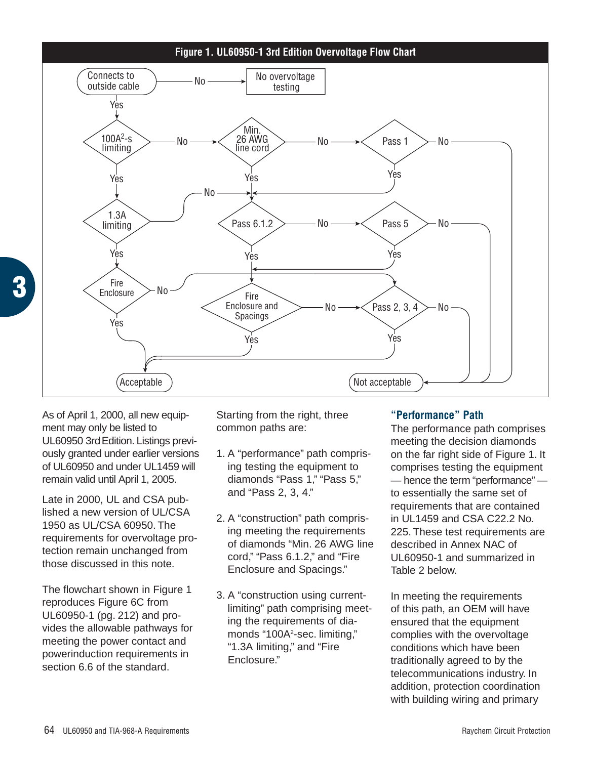

As of April 1, 2000, all new equipment may only be listed to UL60950 3rdEdition. Listings previously granted under earlier versions of UL60950 and under UL1459 will remain valid until April 1, 2005.

**3**

Late in 2000, UL and CSA published a new version of UL/CSA 1950 as UL/CSA 60950. The requirements for overvoltage protection remain unchanged from those discussed in this note.

The flowchart shown in Figure 1 reproduces Figure 6C from UL60950-1 (pg. 212) and provides the allowable pathways for meeting the power contact and powerinduction requirements in section 6.6 of the standard.

Starting from the right, three common paths are:

- 1. A "performance" path comprising testing the equipment to diamonds "Pass 1," "Pass 5," and "Pass 2, 3, 4."
- 2. A "construction" path comprising meeting the requirements of diamonds "Min. 26 AWG line cord," "Pass 6.1.2," and "Fire Enclosure and Spacings."
- 3. A "construction using currentlimiting" path comprising meeting the requirements of diamonds "100A<sup>2</sup>-sec. limiting," "1.3A limiting," and "Fire Enclosure."

# **"Performance" Path**

The performance path comprises meeting the decision diamonds on the far right side of Figure 1. It comprises testing the equipment — hence the term "performance" to essentially the same set of requirements that are contained in UL1459 and CSA C22.2 No. 225. These test requirements are described in Annex NAC of UL60950-1 and summarized in Table 2 below.

In meeting the requirements of this path, an OEM will have ensured that the equipment complies with the overvoltage conditions which have been traditionally agreed to by the telecommunications industry. In addition, protection coordination with building wiring and primary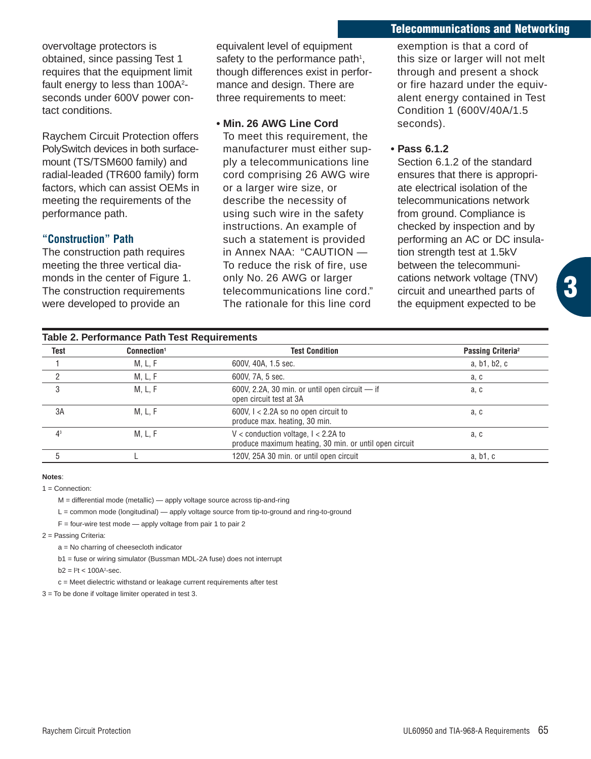#### **Telecommunications and Networking**

overvoltage protectors is obtained, since passing Test 1 requires that the equipment limit fault energy to less than 100A<sup>2</sup>seconds under 600V power contact conditions.

Raychem Circuit Protection offers PolySwitch devices in both surfacemount (TS/TSM600 family) and radial-leaded (TR600 family) form factors, which can assist OEMs in meeting the requirements of the performance path.

#### **"Construction" Path**

The construction path requires meeting the three vertical diamonds in the center of Figure 1. The construction requirements were developed to provide an

equivalent level of equipment safety to the performance path<sup>1</sup>, though differences exist in performance and design. There are three requirements to meet:

#### **• Min. 26 AWG Line Cord**

To meet this requirement, the manufacturer must either supply a telecommunications line cord comprising 26 AWG wire or a larger wire size, or describe the necessity of using such wire in the safety instructions. An example of such a statement is provided in Annex NAA: "CAUTION -To reduce the risk of fire, use only No. 26 AWG or larger telecommunications line cord." The rationale for this line cord

exemption is that a cord of this size or larger will not melt through and present a shock or fire hazard under the equivalent energy contained in Test Condition 1 (600V/40A/1.5 seconds).

#### **• Pass 6.1.2**

Section 6.1.2 of the standard ensures that there is appropriate electrical isolation of the telecommunications network from ground. Compliance is checked by inspection and by performing an AC or DC insulation strength test at 1.5kV between the telecommunications network voltage (TNV) circuit and unearthed parts of the equipment expected to be

| <b>Table 2. Performance Path Test Requirements</b> |                         |                                                                                                 |                               |  |  |  |
|----------------------------------------------------|-------------------------|-------------------------------------------------------------------------------------------------|-------------------------------|--|--|--|
| Test                                               | Connection <sup>1</sup> | <b>Test Condition</b>                                                                           | Passing Criteria <sup>2</sup> |  |  |  |
|                                                    | M, L, F                 | 600V, 40A, 1.5 sec.                                                                             | a, b1, b2, c                  |  |  |  |
| 2                                                  | M, L, F                 | 600V, 7A, 5 sec.                                                                                | a, c                          |  |  |  |
| 3                                                  | M, L, F                 | 600V, 2.2A, 30 min. or until open circuit $-$ if<br>open circuit test at 3A                     | a, c                          |  |  |  |
| 3A                                                 | M, L, F                 | 600V, $1 < 2.2A$ so no open circuit to<br>produce max. heating, 30 min.                         | a, c                          |  |  |  |
| 4 <sup>3</sup>                                     | M, L, F                 | V < conduction voltage, $1 < 2.2A$ to<br>produce maximum heating, 30 min. or until open circuit | a, c                          |  |  |  |
|                                                    |                         | 120V, 25A 30 min. or until open circuit                                                         | a, b1, c                      |  |  |  |

#### **Notes**:

 $1 =$  Connection:

M = differential mode (metallic) — apply voltage source across tip-and-ring

L = common mode (longitudinal) — apply voltage source from tip-to-ground and ring-to-ground

 $F =$  four-wire test mode  $-$  apply voltage from pair 1 to pair 2

2 = Passing Criteria:

a = No charring of cheesecloth indicator

b1 = fuse or wiring simulator (Bussman MDL-2A fuse) does not interrupt

 $b2 = 12t < 100A^2$ -sec.

c = Meet dielectric withstand or leakage current requirements after test

3 = To be done if voltage limiter operated in test 3.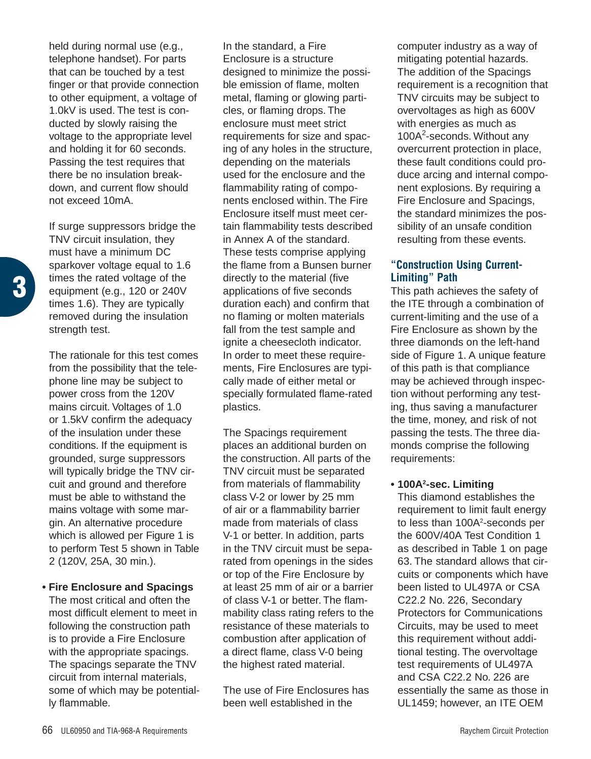held during normal use (e.g., telephone handset). For parts that can be touched by a test finger or that provide connection to other equipment, a voltage of 1.0kV is used. The test is conducted by slowly raising the voltage to the appropriate level and holding it for 60 seconds. Passing the test requires that there be no insulation breakdown, and current flow should not exceed 10mA.

If surge suppressors bridge the TNV circuit insulation, they must have a minimum DC sparkover voltage equal to 1.6 times the rated voltage of the equipment (e.g., 120 or 240V times 1.6). They are typically removed during the insulation strength test.

**3**

The rationale for this test comes from the possibility that the telephone line may be subject to power cross from the 120V mains circuit. Voltages of 1.0 or 1.5kV confirm the adequacy of the insulation under these conditions. If the equipment is grounded, surge suppressors will typically bridge the TNV circuit and ground and therefore must be able to withstand the mains voltage with some margin. An alternative procedure which is allowed per Figure 1 is to perform Test 5 shown in Table 2 (120V, 25A, 30 min.).

#### **• Fire Enclosure and Spacings**

The most critical and often the most difficult element to meet in following the construction path is to provide a Fire Enclosure with the appropriate spacings. The spacings separate the TNV circuit from internal materials, some of which may be potentially flammable.

In the standard, a Fire Enclosure is a structure designed to minimize the possible emission of flame, molten metal, flaming or glowing particles, or flaming drops. The enclosure must meet strict requirements for size and spacing of any holes in the structure, depending on the materials used for the enclosure and the flammability rating of components enclosed within. The Fire Enclosure itself must meet certain flammability tests described in Annex A of the standard. These tests comprise applying the flame from a Bunsen burner directly to the material (five applications of five seconds duration each) and confirm that no flaming or molten materials fall from the test sample and ignite a cheesecloth indicator. In order to meet these requirements, Fire Enclosures are typically made of either metal or specially formulated flame-rated plastics.

The Spacings requirement places an additional burden on the construction. All parts of the TNV circuit must be separated from materials of flammability class V-2 or lower by 25 mm of air or a flammability barrier made from materials of class V-1 or better. In addition, parts in the TNV circuit must be separated from openings in the sides or top of the Fire Enclosure by at least 25 mm of air or a barrier of class V-1 or better. The flammability class rating refers to the resistance of these materials to combustion after application of a direct flame, class V-0 being the highest rated material.

The use of Fire Enclosures has been well established in the

computer industry as a way of mitigating potential hazards. The addition of the Spacings requirement is a recognition that TNV circuits may be subject to overvoltages as high as 600V with energies as much as 100A<sup>2</sup>-seconds. Without any overcurrent protection in place, these fault conditions could produce arcing and internal component explosions. By requiring a Fire Enclosure and Spacings, the standard minimizes the possibility of an unsafe condition resulting from these events.

# **"Construction Using Current-Limiting" Path**

This path achieves the safety of the ITE through a combination of current-limiting and the use of a Fire Enclosure as shown by the three diamonds on the left-hand side of Figure 1. A unique feature of this path is that compliance may be achieved through inspection without performing any testing, thus saving a manufacturer the time, money, and risk of not passing the tests. The three diamonds comprise the following requirements:

#### **• 100A2 -sec. Limiting**

This diamond establishes the requirement to limit fault energy to less than 100A<sup>2</sup>-seconds per the 600V/40A Test Condition 1 as described in Table 1 on page 63. The standard allows that circuits or components which have been listed to UL497A or CSA C22.2 No. 226, Secondary Protectors for Communications Circuits, may be used to meet this requirement without additional testing. The overvoltage test requirements of UL497A and CSA C22.2 No. 226 are essentially the same as those in UL1459; however, an ITE OEM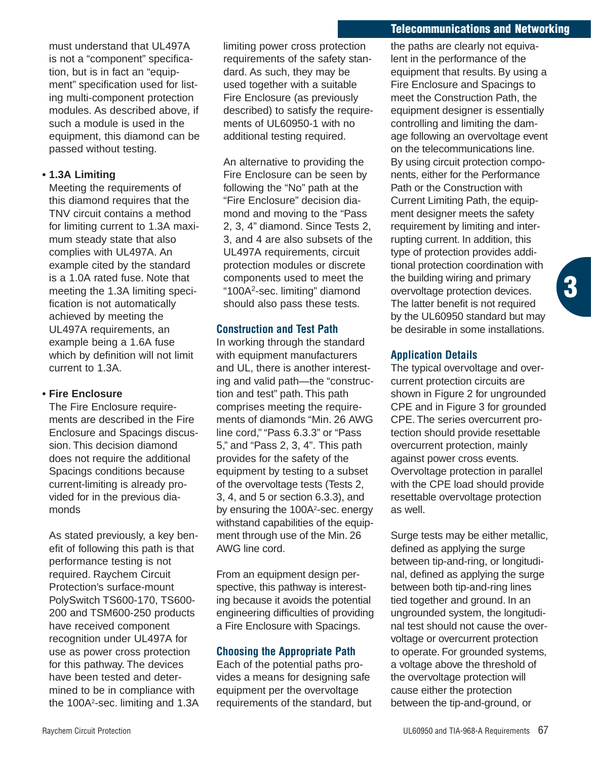## **Telecommunications and Networking**

must understand that UL497A is not a "component" specification, but is in fact an "equipment" specification used for listing multi-component protection modules. As described above, if such a module is used in the equipment, this diamond can be passed without testing.

## **• 1.3A Limiting**

Meeting the requirements of this diamond requires that the TNV circuit contains a method for limiting current to 1.3A maximum steady state that also complies with UL497A. An example cited by the standard is a 1.0A rated fuse. Note that meeting the 1.3A limiting specification is not automatically achieved by meeting the UL497A requirements, an example being a 1.6A fuse which by definition will not limit current to 1.3A.

# **• Fire Enclosure**

The Fire Enclosure requirements are described in the Fire Enclosure and Spacings discussion. This decision diamond does not require the additional Spacings conditions because current-limiting is already provided for in the previous diamonds

As stated previously, a key benefit of following this path is that performance testing is not required. Raychem Circuit Protection's surface-mount PolySwitch TS600-170, TS600- 200 and TSM600-250 products have received component recognition under UL497A for use as power cross protection for this pathway. The devices have been tested and determined to be in compliance with the 100A<sup>2</sup>-sec. limiting and 1.3A limiting power cross protection requirements of the safety standard. As such, they may be used together with a suitable Fire Enclosure (as previously described) to satisfy the requirements of UL60950-1 with no additional testing required.

An alternative to providing the Fire Enclosure can be seen by following the "No" path at the "Fire Enclosure" decision diamond and moving to the "Pass 2, 3, 4" diamond. Since Tests 2, 3, and 4 are also subsets of the UL497A requirements, circuit protection modules or discrete components used to meet the "100A2-sec. limiting" diamond should also pass these tests.

## **Construction and Test Path**

In working through the standard with equipment manufacturers and UL, there is another interesting and valid path—the "construction and test" path. This path comprises meeting the requirements of diamonds "Min. 26 AWG line cord," "Pass 6.3.3" or "Pass 5," and "Pass 2, 3, 4". This path provides for the safety of the equipment by testing to a subset of the overvoltage tests (Tests 2, 3, 4, and 5 or section 6.3.3), and by ensuring the 100A<sup>2</sup>-sec. energy withstand capabilities of the equipment through use of the Min. 26 AWG line cord.

From an equipment design perspective, this pathway is interesting because it avoids the potential engineering difficulties of providing a Fire Enclosure with Spacings.

# **Choosing the Appropriate Path**

Each of the potential paths provides a means for designing safe equipment per the overvoltage requirements of the standard, but the paths are clearly not equivalent in the performance of the equipment that results. By using a Fire Enclosure and Spacings to meet the Construction Path, the equipment designer is essentially controlling and limiting the damage following an overvoltage event on the telecommunications line. By using circuit protection components, either for the Performance Path or the Construction with Current Limiting Path, the equipment designer meets the safety requirement by limiting and interrupting current. In addition, this type of protection provides additional protection coordination with the building wiring and primary overvoltage protection devices. The latter benefit is not required by the UL60950 standard but may be desirable in some installations.

**3**

# **Application Details**

The typical overvoltage and overcurrent protection circuits are shown in Figure 2 for ungrounded CPE and in Figure 3 for grounded CPE. The series overcurrent protection should provide resettable overcurrent protection, mainly against power cross events. Overvoltage protection in parallel with the CPE load should provide resettable overvoltage protection as well.

Surge tests may be either metallic, defined as applying the surge between tip-and-ring, or longitudinal, defined as applying the surge between both tip-and-ring lines tied together and ground. In an ungrounded system, the longitudinal test should not cause the overvoltage or overcurrent protection to operate. For grounded systems, a voltage above the threshold of the overvoltage protection will cause either the protection between the tip-and-ground, or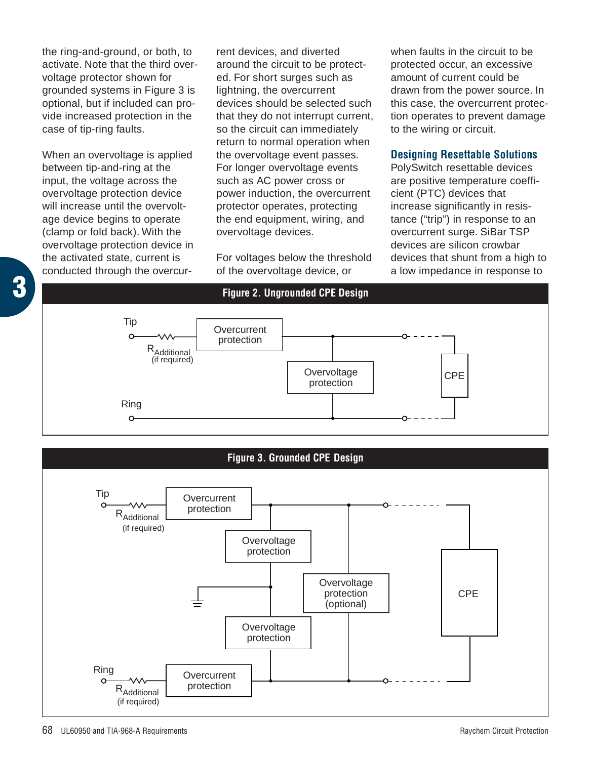the ring-and-ground, or both, to activate. Note that the third overvoltage protector shown for grounded systems in Figure 3 is optional, but if included can provide increased protection in the case of tip-ring faults.

When an overvoltage is applied between tip-and-ring at the input, the voltage across the overvoltage protection device will increase until the overvoltage device begins to operate (clamp or fold back). With the overvoltage protection device in the activated state, current is conducted through the overcurrent devices, and diverted around the circuit to be protected. For short surges such as lightning, the overcurrent devices should be selected such that they do not interrupt current, so the circuit can immediately return to normal operation when the overvoltage event passes. For longer overvoltage events such as AC power cross or power induction, the overcurrent protector operates, protecting the end equipment, wiring, and overvoltage devices.

For voltages below the threshold of the overvoltage device, or

when faults in the circuit to be protected occur, an excessive amount of current could be drawn from the power source. In this case, the overcurrent protection operates to prevent damage to the wiring or circuit.

#### **Designing Resettable Solutions**

PolySwitch resettable devices are positive temperature coefficient (PTC) devices that increase significantly in resistance ("trip") in response to an overcurrent surge. SiBar TSP devices are silicon crowbar devices that shunt from a high to a low impedance in response to





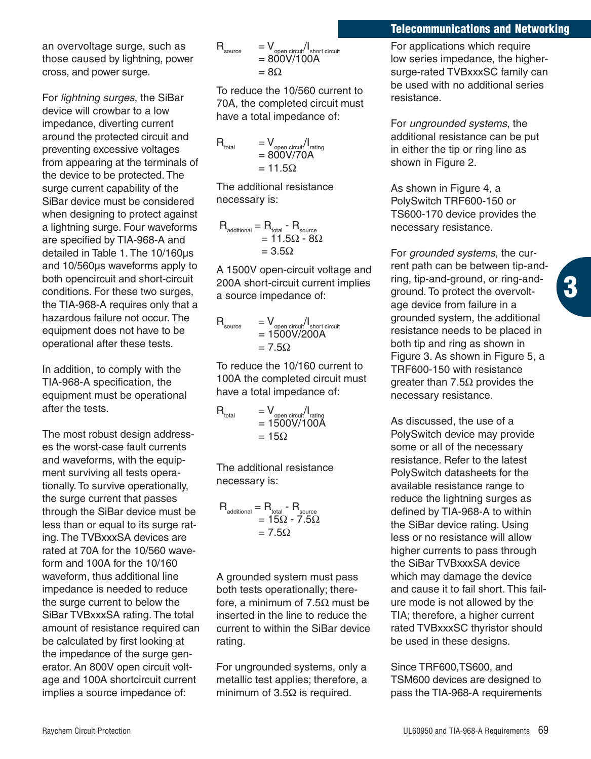#### **Telecommunications and Networking**

an overvoltage surge, such as those caused by lightning, power cross, and power surge.

For *lightning surges*, the SiBar device will crowbar to a low impedance, diverting current around the protected circuit and preventing excessive voltages from appearing at the terminals of the device to be protected. The surge current capability of the SiBar device must be considered when designing to protect against a lightning surge. Four waveforms are specified by TIA-968-A and detailed in Table 1. The 10/160µs and 10/560µs waveforms apply to both opencircuit and short-circuit conditions. For these two surges, the TIA-968-A requires only that a hazardous failure not occur. The equipment does not have to be operational after these tests.

In addition, to comply with the TIA-968-A specification, the equipment must be operational after the tests.

The most robust design addresses the worst-case fault currents and waveforms, with the equipment surviving all tests operationally. To survive operationally, the surge current that passes through the SiBar device must be less than or equal to its surge rating. The TVBxxxSA devices are rated at 70A for the 10/560 waveform and 100A for the 10/160 waveform, thus additional line impedance is needed to reduce the surge current to below the SiBar TVBxxxSA rating. The total amount of resistance required can be calculated by first looking at the impedance of the surge generator. An 800V open circuit voltage and 100A shortcircuit current implies a source impedance of:

$$
R_{\text{source}} = V_{\text{open circuit}} / I_{\text{short circuit}}
$$
  
= 800V/100A  
= 8\Omega

To reduce the 10/560 current to 70A, the completed circuit must have a total impedance of:

$$
R_{total} = V_{open\,circuit/1_{rating}}
$$
  
= 800V/70A  
= 11.5 $\Omega$ 

The additional resistance necessary is:

$$
\begin{aligned} R_{\text{additional}} &= R_{\text{total}} - R_{\text{source}} \\ &= 11.5 \Omega - 8 \Omega \\ &= 3.5 \Omega \end{aligned}
$$

A 1500V open-circuit voltage and 200A short-circuit current implies a source impedance of:

$$
\begin{array}{ll} \mathsf{R}_{\text{source}} & = \mathsf{V}_{\text{open circuit}} / \mathsf{I}_{\text{short circuit}} \\ & = 1500 \mathsf{V} / 200 \mathsf{A} \\ & = 7.5 \Omega \end{array}
$$

To reduce the 10/160 current to 100A the completed circuit must have a total impedance of:

$$
R_{total} = V_{open\,circuit} / I_{rating} = 1500V/100A = 15\Omega
$$

The additional resistance necessary is:

$$
\begin{aligned} \mathsf{R}_{\text{additional}} &= \mathsf{R}_{\text{total}} - \mathsf{R}_{\text{source}} \\ &= 15 \Omega - 7.5 \Omega \\ &= 7.5 \Omega \end{aligned}
$$

A grounded system must pass both tests operationally; therefore, a minimum of 7.5Ω must be inserted in the line to reduce the current to within the SiBar device rating.

For ungrounded systems, only a metallic test applies; therefore, a minimum of  $3.5\Omega$  is required.

For applications which require low series impedance, the highersurge-rated TVBxxxSC family can be used with no additional series resistance.

For *ungrounded systems*, the additional resistance can be put in either the tip or ring line as shown in Figure 2.

As shown in Figure 4, a PolySwitch TRF600-150 or TS600-170 device provides the necessary resistance.

For *grounded systems*, the current path can be between tip-andring, tip-and-ground, or ring-andground. To protect the overvoltage device from failure in a grounded system, the additional resistance needs to be placed in both tip and ring as shown in Figure 3. As shown in Figure 5, a TRF600-150 with resistance greater than 7.5Ω provides the necessary resistance.

**3**

As discussed, the use of a PolySwitch device may provide some or all of the necessary resistance. Refer to the latest PolySwitch datasheets for the available resistance range to reduce the lightning surges as defined by TIA-968-A to within the SiBar device rating. Using less or no resistance will allow higher currents to pass through the SiBar TVBxxxSA device which may damage the device and cause it to fail short. This failure mode is not allowed by the TIA; therefore, a higher current rated TVBxxxSC thyristor should be used in these designs.

Since TRF600,TS600, and TSM600 devices are designed to pass the TIA-968-A requirements